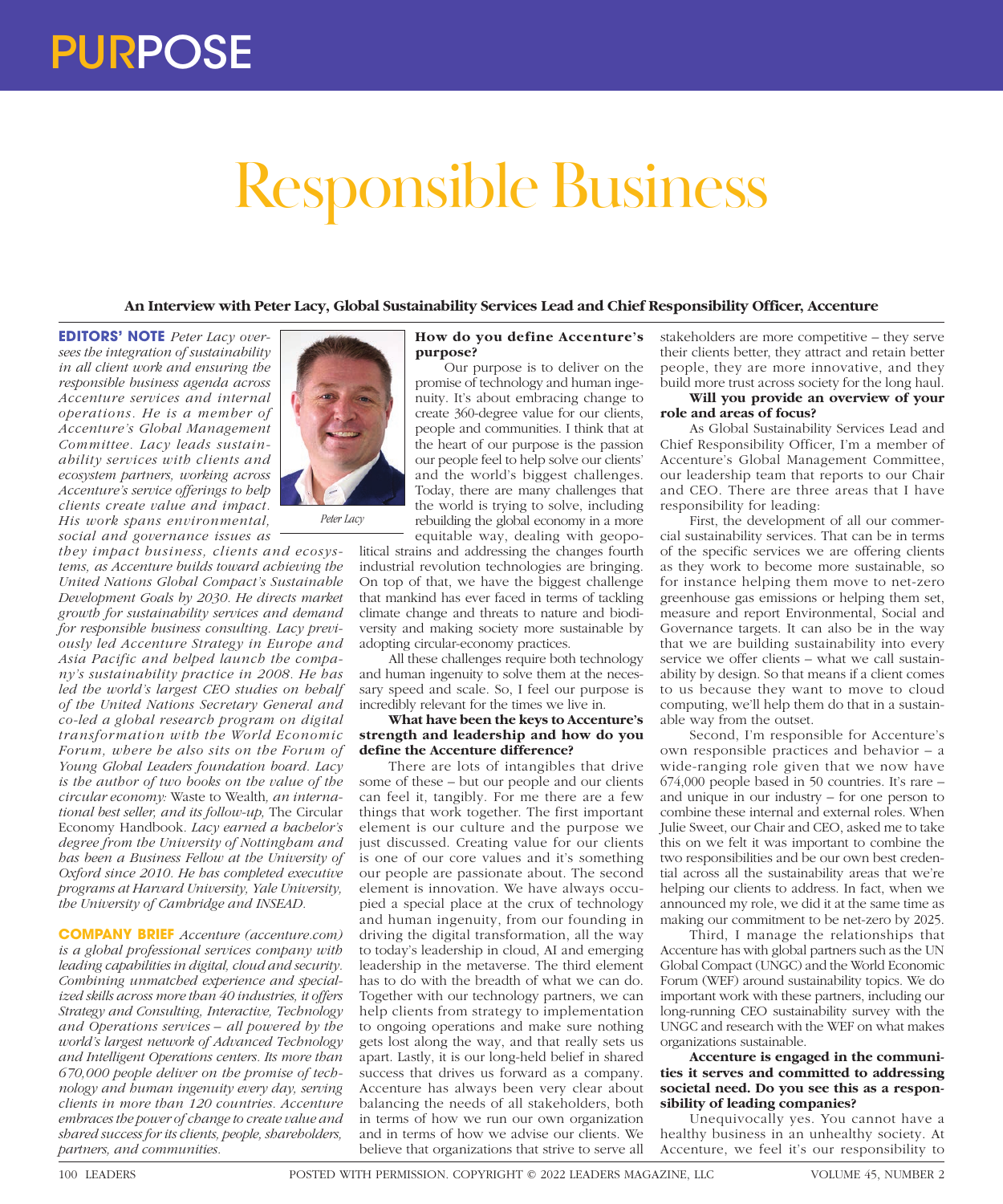# Responsible Business

# **An Interview with Peter Lacy, Global Sustainability Services Lead and Chief Responsibility Officer, Accenture**

**EDITORS' NOTE** *Peter Lacy oversees the integration of sustainability in all client work and ensuring the responsible business agenda across Accenture services and internal operations. He is a member of Accenture's Global Management Committee. Lacy leads sustainability services with clients and ecosystem partners, working across Accenture's service offerings to help clients create value and impact. His work spans environmental, social and governance issues as* 

*they impact business, clients and ecosystems, as Accenture builds toward achieving the United Nations Global Compact's Sustainable Development Goals by 2030. He directs market growth for sustainability services and demand for responsible business consulting. Lacy previously led Accenture Strategy in Europe and Asia Pacific and helped launch the company's sustainability practice in 2008. He has led the world's largest CEO studies on behalf of the United Nations Secretary General and co-led a global research program on digital transformation with the World Economic Forum, where he also sits on the Forum of Young Global Leaders foundation board. Lacy is the author of two books on the value of the circular economy:* Waste to Wealth*, an international best seller, and its follow-up,* The Circular Economy Handbook*. Lacy earned a bachelor's degree from the University of Nottingham and has been a Business Fellow at the University of Oxford since 2010. He has completed executive programs at Harvard University, Yale University, the University of Cambridge and INSEAD.*

**COMPANY BRIEF** *Accenture (accenture.com) is a global professional services company with leading capabilities in digital, cloud and security. Combining unmatched experience and specialized skills across more than 40 industries, it offers Strategy and Consulting, Interactive, Technology and Operations services – all powered by the world's largest network of Advanced Technology and Intelligent Operations centers. Its more than 670,000 people deliver on the promise of technology and human ingenuity every day, serving clients in more than 120 countries. Accenture embraces the power of change to create value and shared success for its clients, people, shareholders, partners, and communities.*



Our purpose is to deliver on the promise of technology and human ingenuity. It's about embracing change to create 360-degree value for our clients, people and communities. I think that at the heart of our purpose is the passion our people feel to help solve our clients' and the world's biggest challenges. Today, there are many challenges that the world is trying to solve, including rebuilding the global economy in a more equitable way, dealing with geopo-

litical strains and addressing the changes fourth industrial revolution technologies are bringing. On top of that, we have the biggest challenge that mankind has ever faced in terms of tackling climate change and threats to nature and biodiversity and making society more sustainable by adopting circular-economy practices.

All these challenges require both technology and human ingenuity to solve them at the necessary speed and scale. So, I feel our purpose is incredibly relevant for the times we live in.

**What have been the keys to Accenture's strength and leadership and how do you define the Accenture difference?**

There are lots of intangibles that drive some of these – but our people and our clients can feel it, tangibly. For me there are a few things that work together. The first important element is our culture and the purpose we just discussed. Creating value for our clients is one of our core values and it's something our people are passionate about. The second element is innovation. We have always occupied a special place at the crux of technology and human ingenuity, from our founding in driving the digital transformation, all the way to today's leadership in cloud, AI and emerging leadership in the metaverse. The third element has to do with the breadth of what we can do. Together with our technology partners, we can help clients from strategy to implementation to ongoing operations and make sure nothing gets lost along the way, and that really sets us apart. Lastly, it is our long-held belief in shared success that drives us forward as a company. Accenture has always been very clear about balancing the needs of all stakeholders, both in terms of how we run our own organization and in terms of how we advise our clients. We believe that organizations that strive to serve all

stakeholders are more competitive – they serve their clients better, they attract and retain better people, they are more innovative, and they build more trust across society for the long haul.

## **Will you provide an overview of your role and areas of focus?**

As Global Sustainability Services Lead and Chief Responsibility Officer, I'm a member of Accenture's Global Management Committee, our leadership team that reports to our Chair and CEO. There are three areas that I have responsibility for leading:

First, the development of all our commercial sustainability services. That can be in terms of the specific services we are offering clients as they work to become more sustainable, so for instance helping them move to net-zero greenhouse gas emissions or helping them set, measure and report Environmental, Social and Governance targets. It can also be in the way that we are building sustainability into every service we offer clients – what we call sustainability by design. So that means if a client comes to us because they want to move to cloud computing, we'll help them do that in a sustainable way from the outset.

Second, I'm responsible for Accenture's own responsible practices and behavior – a wide-ranging role given that we now have 674,000 people based in 50 countries. It's rare – and unique in our industry – for one person to combine these internal and external roles. When Julie Sweet, our Chair and CEO, asked me to take this on we felt it was important to combine the two responsibilities and be our own best credential across all the sustainability areas that we're helping our clients to address. In fact, when we announced my role, we did it at the same time as making our commitment to be net-zero by 2025.

Third, I manage the relationships that Accenture has with global partners such as the UN Global Compact (UNGC) and the World Economic Forum (WEF) around sustainability topics. We do important work with these partners, including our long-running CEO sustainability survey with the UNGC and research with the WEF on what makes organizations sustainable.

### **Accenture is engaged in the communities it serves and committed to addressing societal need. Do you see this as a responsibility of leading companies?**

Unequivocally yes. You cannot have a healthy business in an unhealthy society. At Accenture, we feel it's our responsibility to



*Peter Lacy*